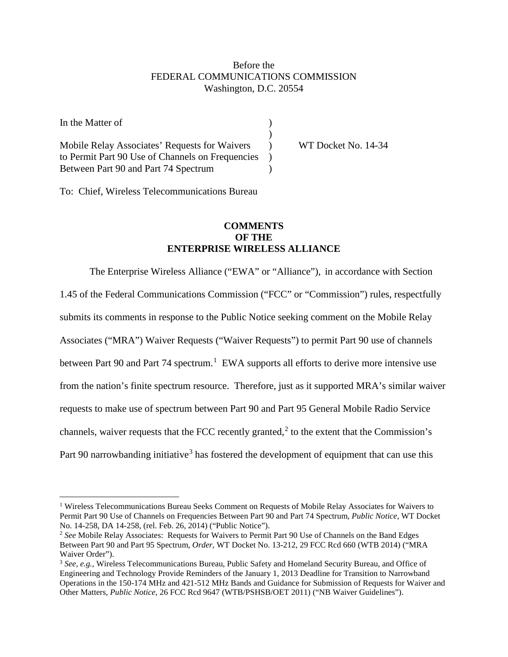## Before the FEDERAL COMMUNICATIONS COMMISSION Washington, D.C. 20554

| In the Matter of                                 |                     |
|--------------------------------------------------|---------------------|
|                                                  |                     |
| Mobile Relay Associates' Requests for Waivers    | WT Docket No. 14-34 |
| to Permit Part 90 Use of Channels on Frequencies |                     |
| Between Part 90 and Part 74 Spectrum             |                     |

To: Chief, Wireless Telecommunications Bureau

## **COMMENTS OF THE ENTERPRISE WIRELESS ALLIANCE**

The Enterprise Wireless Alliance ("EWA" or "Alliance"), in accordance with Section 1.45 of the Federal Communications Commission ("FCC" or "Commission") rules, respectfully submits its comments in response to the Public Notice seeking comment on the Mobile Relay Associates ("MRA") Waiver Requests ("Waiver Requests") to permit Part 90 use of channels between Part 90 and Part 74 spectrum.<sup>[1](#page-0-0)</sup> EWA supports all efforts to derive more intensive use from the nation's finite spectrum resource. Therefore, just as it supported MRA's similar waiver requests to make use of spectrum between Part 90 and Part 95 General Mobile Radio Service channels, waiver requests that the FCC recently granted,<sup>[2](#page-0-1)</sup> to the extent that the Commission's Part 90 narrowbanding initiative<sup>[3](#page-0-2)</sup> has fostered the development of equipment that can use this

<span id="page-0-0"></span><sup>&</sup>lt;sup>1</sup> Wireless Telecommunications Bureau Seeks Comment on Requests of Mobile Relay Associates for Waivers to Permit Part 90 Use of Channels on Frequencies Between Part 90 and Part 74 Spectrum, *Public Notice*, WT Docket No. 14-258, DA 14-258, (rel. Feb. 26, 2014) ("Public Notice").  $\overline{a}$ 

<span id="page-0-1"></span><sup>&</sup>lt;sup>2</sup> See Mobile Relay Associates: Requests for Waivers to Permit Part 90 Use of Channels on the Band Edges Between Part 90 and Part 95 Spectrum, *Order*, WT Docket No. 13-212, 29 FCC Rcd 660 (WTB 2014) ("MRA Waiver Order").

<span id="page-0-2"></span><sup>3</sup> *See, e.g.,* Wireless Telecommunications Bureau, Public Safety and Homeland Security Bureau, and Office of Engineering and Technology Provide Reminders of the January 1, 2013 Deadline for Transition to Narrowband Operations in the 150-174 MHz and 421-512 MHz Bands and Guidance for Submission of Requests for Waiver and Other Matters, *Public Notice*, 26 FCC Rcd 9647 (WTB/PSHSB/OET 2011) ("NB Waiver Guidelines").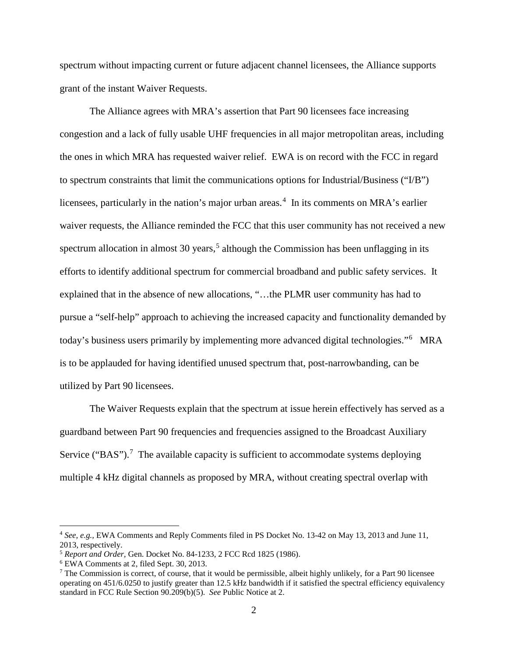spectrum without impacting current or future adjacent channel licensees, the Alliance supports grant of the instant Waiver Requests.

The Alliance agrees with MRA's assertion that Part 90 licensees face increasing congestion and a lack of fully usable UHF frequencies in all major metropolitan areas, including the ones in which MRA has requested waiver relief. EWA is on record with the FCC in regard to spectrum constraints that limit the communications options for Industrial/Business ("I/B") licensees, particularly in the nation's major urban areas.<sup>[4](#page-1-0)</sup> In its comments on MRA's earlier waiver requests, the Alliance reminded the FCC that this user community has not received a new spectrum allocation in almost 30 years,<sup>[5](#page-1-1)</sup> although the Commission has been unflagging in its efforts to identify additional spectrum for commercial broadband and public safety services. It explained that in the absence of new allocations, "…the PLMR user community has had to pursue a "self-help" approach to achieving the increased capacity and functionality demanded by today's business users primarily by implementing more advanced digital technologies."<sup>[6](#page-1-2)</sup> MRA is to be applauded for having identified unused spectrum that, post-narrowbanding, can be utilized by Part 90 licensees.

The Waiver Requests explain that the spectrum at issue herein effectively has served as a guardband between Part 90 frequencies and frequencies assigned to the Broadcast Auxiliary Service ("BAS").<sup>[7](#page-1-3)</sup> The available capacity is sufficient to accommodate systems deploying multiple 4 kHz digital channels as proposed by MRA, without creating spectral overlap with

 $\overline{a}$ 

<span id="page-1-0"></span><sup>4</sup> *See, e.g.,* EWA Comments and Reply Comments filed in PS Docket No. 13-42 on May 13, 2013 and June 11, 2013, respectively.

<span id="page-1-2"></span><span id="page-1-1"></span><sup>5</sup> *Report and Order,* Gen. Docket No. 84-1233, 2 FCC Rcd 1825 (1986). 6 EWA Comments at 2, filed Sept. 30, 2013.

<span id="page-1-3"></span> $^7$  The Commission is correct, of course, that it would be permissible, albeit highly unlikely, for a Part 90 licensee operating on 451/6.0250 to justify greater than 12.5 kHz bandwidth if it satisfied the spectral efficiency equivalency standard in FCC Rule Section 90.209(b)(5). *See* Public Notice at 2.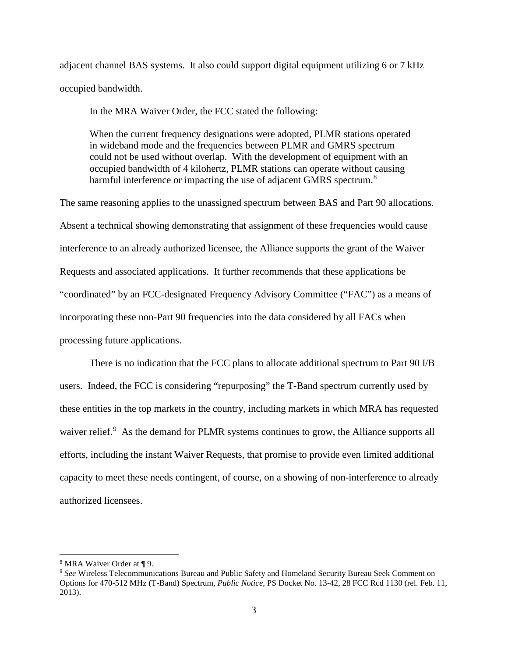adjacent channel BAS systems. It also could support digital equipment utilizing 6 or 7 kHz occupied bandwidth.

In the MRA Waiver Order, the FCC stated the following:

When the current frequency designations were adopted, PLMR stations operated in wideband mode and the frequencies between PLMR and GMRS spectrum could not be used without overlap. With the development of equipment with an occupied bandwidth of 4 kilohertz, PLMR stations can operate without causing harmful interference or impacting the use of adjacent GMRS spectrum.<sup>[8](#page-2-0)</sup>

The same reasoning applies to the unassigned spectrum between BAS and Part 90 allocations. Absent a technical showing demonstrating that assignment of these frequencies would cause interference to an already authorized licensee, the Alliance supports the grant of the Waiver Requests and associated applications. It further recommends that these applications be "coordinated" by an FCC-designated Frequency Advisory Committee ("FAC") as a means of incorporating these non-Part 90 frequencies into the data considered by all FACs when processing future applications.

There is no indication that the FCC plans to allocate additional spectrum to Part 90 I/B users. Indeed, the FCC is considering "repurposing" the T-Band spectrum currently used by these entities in the top markets in the country, including markets in which MRA has requested waiver relief.<sup>[9](#page-2-1)</sup> As the demand for PLMR systems continues to grow, the Alliance supports all efforts, including the instant Waiver Requests, that promise to provide even limited additional capacity to meet these needs contingent, of course, on a showing of non-interference to already authorized licensees.

 $\overline{a}$ 

<span id="page-2-0"></span><sup>8</sup> MRA Waiver Order at ¶ 9.

<span id="page-2-1"></span><sup>&</sup>lt;sup>9</sup> See Wireless Telecommunications Bureau and Public Safety and Homeland Security Bureau Seek Comment on Options for 470-512 MHz (T-Band) Spectrum, *Public Notice*, PS Docket No. 13-42, 28 FCC Rcd 1130 (rel. Feb. 11, 2013).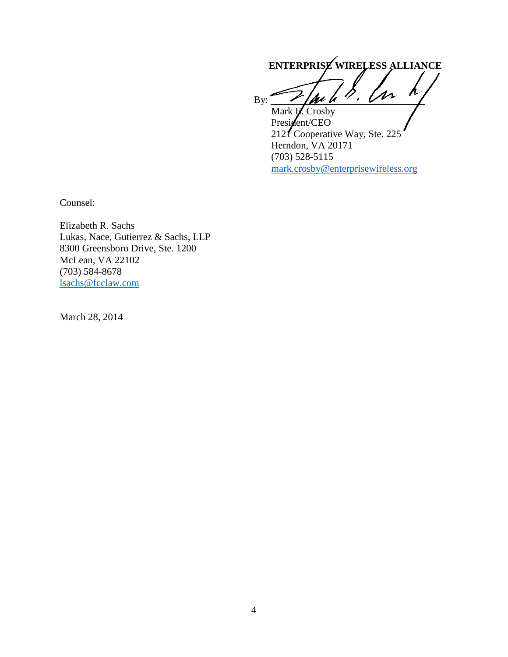**ENTERPRISE WIRELESS ALLIANCE** By:  $\mathscr{L}/\mathscr{U}$   $\mu$  .  $\mathscr{V}$  .  $\mathscr{V}$ 

Mark **P**. Crosby President/CEO 2121 Cooperative Way, Ste. 225 Herndon, VA 20171 (703) 528-5115 [mark.crosby@enterprisewireless.org](mailto:mark.crosby@enterprisewireless.org)

Counsel:

Elizabeth R. Sachs Lukas, Nace, Gutierrez & Sachs, LLP 8300 Greensboro Drive, Ste. 1200 McLean, VA 22102 (703) 584-8678 [lsachs@fcclaw.com](mailto:lsachs@fcclaw.com)

March 28, 2014